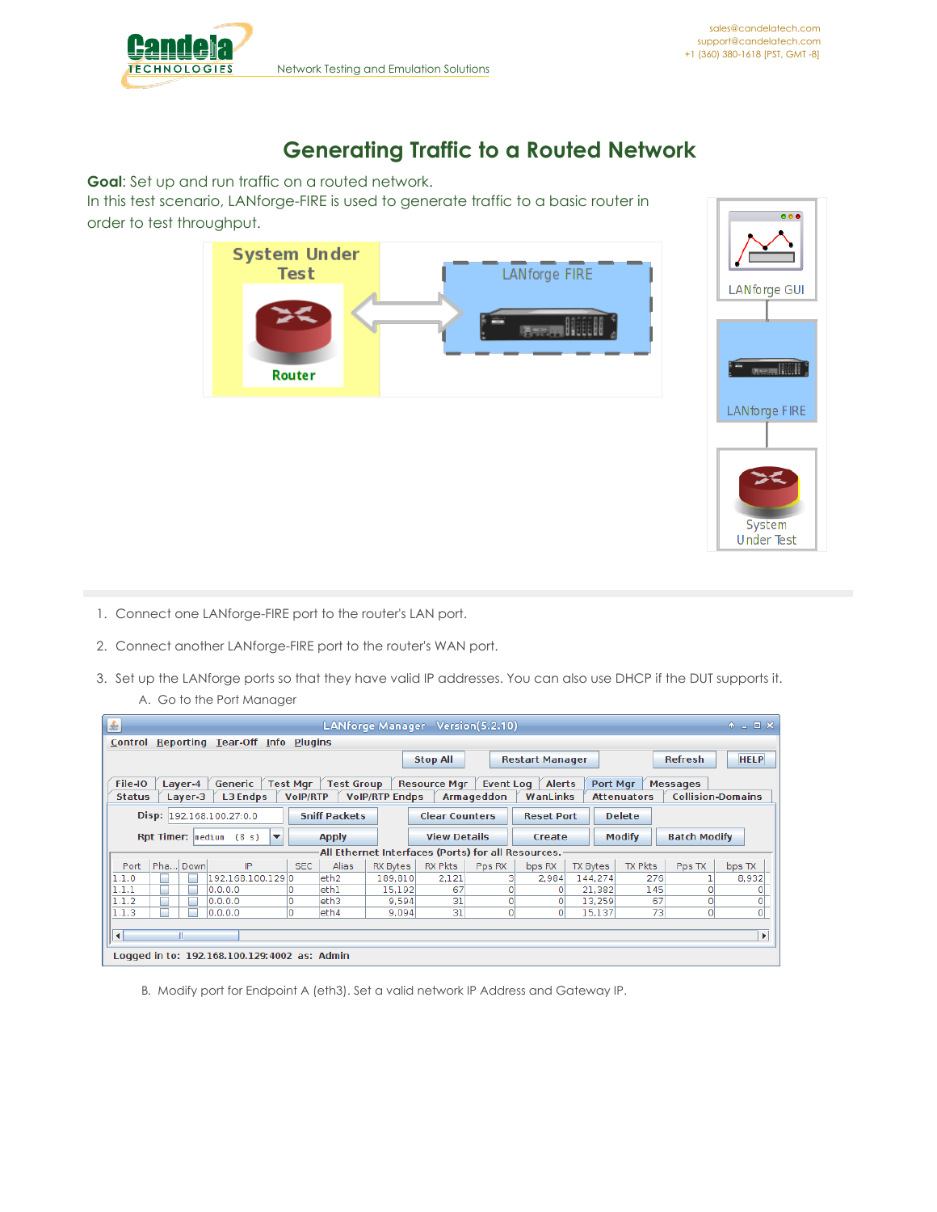

## **Generating Traffic to a Routed Network**

**Goal**: Set up and run traffic on a routed network.

In this test scenario, LANforge-FIRE is used to generate traffic to a basic router in order to test throughput.





- 1. Connect one LANforge-FIRE port to the router's LAN port.
- 2. Connect another LANforge-FIRE port to the router's WAN port.
- 3. Set up the LANforge ports so that they have valid IP addresses. You can also use DHCP if the DUT supports it. A. Go to the Port Manager

| L<br>LANforge Manager Version(5.2.10)                                                                                                         | $+$ $  \times$                     |
|-----------------------------------------------------------------------------------------------------------------------------------------------|------------------------------------|
| Reporting Tear-Off Info Plugins<br>Control                                                                                                    |                                    |
| <b>Stop All</b><br><b>Restart Manager</b>                                                                                                     | <b>Refresh</b><br><b>HELP</b>      |
| File-IO<br>Generic<br>Port Mgr<br><b>Resource Mar</b><br><b>Event Log</b><br>Laver-4<br><b>Test Mgr</b><br><b>Test Group</b><br><b>Alerts</b> | <b>Messages</b>                    |
| <b>VoIP/RTP Endps</b><br><b>L3 Endps</b><br><b>VoIP/RTP</b><br>Armageddon<br>WanLinks<br><b>Attenuators</b><br><b>Status</b><br>Laver-3       | <b>Collision-Domains</b>           |
| Disp: 192.168.100.27:0.0<br><b>Sniff Packets</b><br><b>Clear Counters</b><br><b>Delete</b><br><b>Reset Port</b>                               |                                    |
| Modify<br><b>View Details</b><br>Rpt Timer:  medium<br>(8 s)<br><b>Apply</b><br>Create<br>$\overline{\phantom{a}}$                            | <b>Batch Modify</b>                |
| All Ethernet Interfaces (Ports) for all Resources.                                                                                            |                                    |
| Pha Down<br>Port<br>IP<br>SEC.<br><b>Alias</b><br><b>RX Bytes</b><br><b>RX Pkts</b><br>Pps RX<br>bps RX<br><b>TX Bytes</b>                    | <b>TX Pkts</b><br>Pps TX<br>bps TX |
| 192.168.100.129 0<br>leth <sub>2</sub><br>189.810<br>1.1.0<br>2,984<br>144.274<br>2,121<br>з                                                  | 8,932<br>276                       |
| 1.1.1<br>15.192<br>67<br>leth1<br>21.382<br> 0.0.0.0 <br>n                                                                                    | 145<br>$\Omega$                    |
| 31<br>1.1.2<br>$\Omega$<br>13.259<br>0.0.0.0<br>leth3<br>9.594<br>٥                                                                           | 0<br>67                            |
| 31<br>1.1.3<br>o<br>٥I<br>15.137<br>0.0.0.0<br>leth4<br>9,094                                                                                 | $\Omega$<br>73                     |
| ∣∢∣<br>Logged in to: 192.168.100.129:4002 as: Admin                                                                                           | Þ.                                 |

B. Modify port for Endpoint A (eth3). Set a valid network IP Address and Gateway IP.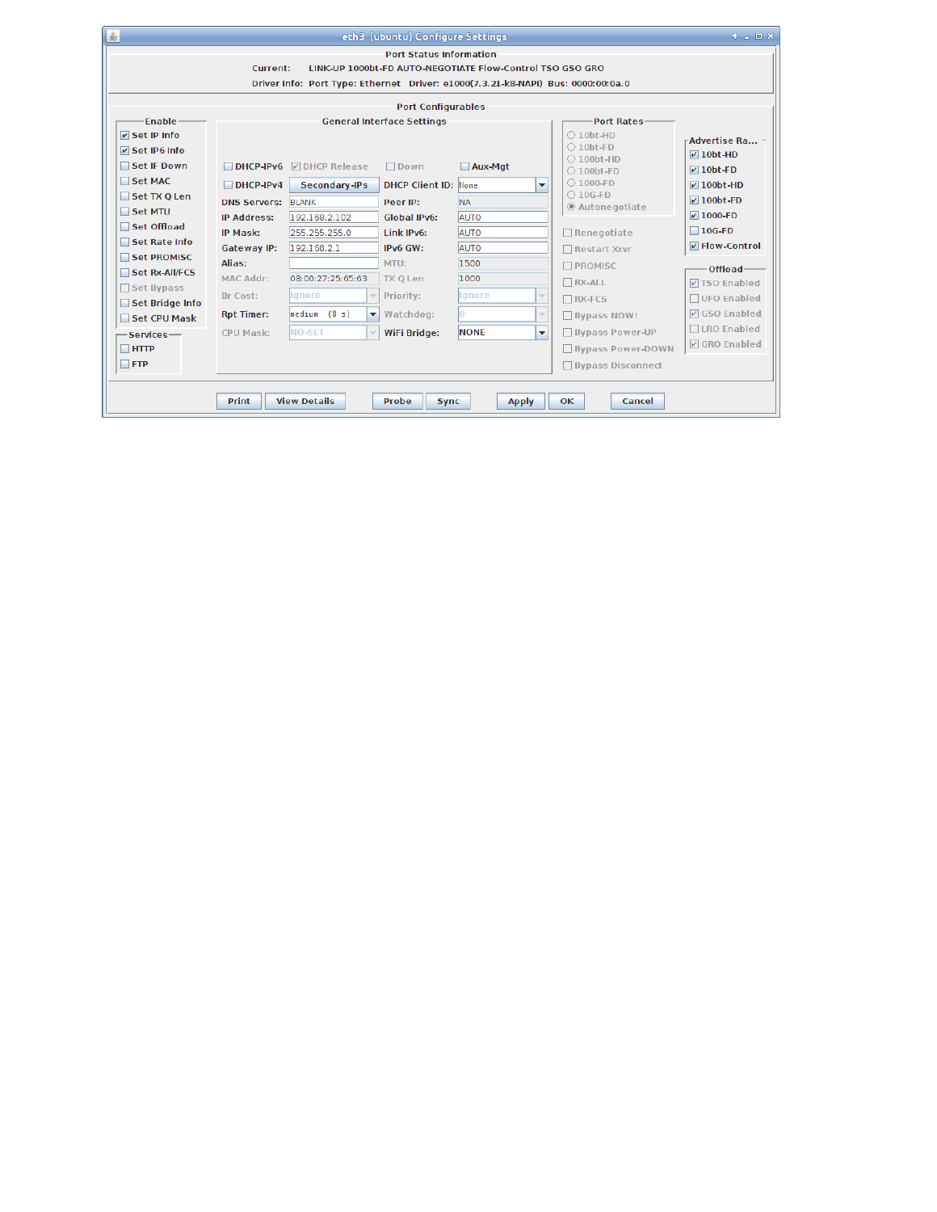| 區                                       |                                       |                                                                                  | eth3 (ubuntu) Configure Settings                                                            |                            |                          |                                                                                | $A - I X$                             |
|-----------------------------------------|---------------------------------------|----------------------------------------------------------------------------------|---------------------------------------------------------------------------------------------|----------------------------|--------------------------|--------------------------------------------------------------------------------|---------------------------------------|
|                                         | Current:                              | Driver Info: Port Type: Ethernet Driver: e1000(7.3.21-k8-NAPI) Bus: 0000:00:0a.0 | <b>Port Status Information</b><br>LINK-UP 1000bt-FD AUTO-NEGOTIATE Flow-Control TSO GSO GRO |                            |                          |                                                                                |                                       |
|                                         |                                       |                                                                                  | <b>Port Configurables</b>                                                                   |                            |                          |                                                                                |                                       |
| <b>Enable</b><br>$V$ Set IP Info        |                                       |                                                                                  | <b>General Interface Settings</b>                                                           |                            |                          | Port Rates<br>$\bigcirc$ 10bt-HD                                               | <b>Advertise Ra</b>                   |
| $V$ Set IP6 Info<br>Set IF Down         | $DHCP-IPv6$                           | <b>DHCP Release</b>                                                              | $\Box$ Down                                                                                 | Aux-Mgt                    |                          | $\bigcirc$ 10bt-FD<br>$\bigcirc$ 100bt-HD<br>$\bigcirc$ 100bt-FD               | $\nu$ 10bt-HD<br>$\nu$ 10bt-FD        |
| Set MAC<br>Set TX O Len                 | $DHCP-IPv4$<br><b>DNS Servers:</b>    | Secondary-IPs<br><b>BLANK</b>                                                    | <b>DHCP Client ID:</b><br>Peer IP:                                                          | <b>None</b><br><b>NA</b>   | $\overline{\mathbf{v}}$  | $\bigcirc$ 1000-FD<br>$\bigcirc$ 10G-FD<br>@ Autonegotiate                     | $\nu$ 100bt-HD<br>$\nu$ 100bt-FD      |
| $\Box$ Set MTU<br>□ Set Offload         | <b>IP Address:</b><br><b>IP Mask:</b> | 192.168.2.102<br>255.255.255.0                                                   | <b>Global IPv6:</b><br>Link IPv6:                                                           | <b>AUTO</b><br><b>AUTO</b> |                          | $\Box$ Renegotiate                                                             | $\nu$ 1000-FD<br>$\Box$ 10G-FD        |
| Set Rate Info<br>Set PROMISC            | Gateway IP:<br>Alias:                 | 192.168.2.1                                                                      | IPv6 GW:<br>MTU:                                                                            | <b>AUTO</b><br>1500        |                          | Restart Xcvr<br><b>PROMISC</b>                                                 | <b>☑ Flow-Control</b><br>Offload-     |
| Set Rx-All/FCS<br>Set Bypass            | <b>MAC Addr:</b><br>Br Cost:          | 08:00:27:25:65:63<br>lgnore                                                      | <b>TX O Len</b><br>Priority:                                                                | 1000<br>lignore            | $\overline{\mathbf{v}}$  | $\Box$ RX-ALL<br>$\Box$ RX-FCS                                                 | <b>ØTSO Enabled</b><br>□ UFO Enabled  |
| Set Bridge Info<br>Set CPU Mask         | <b>Rpt Timer:</b>                     | median (8 s)<br>$\overline{\phantom{a}}$<br><b>NO-SET</b>                        | Watchdog:                                                                                   | <b>NONE</b>                |                          | <b>Bypass NOW!</b>                                                             | <b>☑ GSO Enabled</b><br>□ LRO Enabled |
| -Services-<br>$\Box$ HTTP<br>$\Box$ FTP | <b>CPU Mask:</b>                      | ÷                                                                                | WiFi Bridge:                                                                                |                            | $\overline{\phantom{a}}$ | <b>Bypass Power-UP</b><br><b>Bypass Power-DOWN</b><br><b>Bypass Disconnect</b> | <b>Ø</b> GRO Enabled                  |
|                                         | <b>Print</b>                          | <b>View Details</b>                                                              | Probe<br><b>Sync</b>                                                                        | <b>Apply</b>               |                          | <b>OK</b><br>Cancel                                                            |                                       |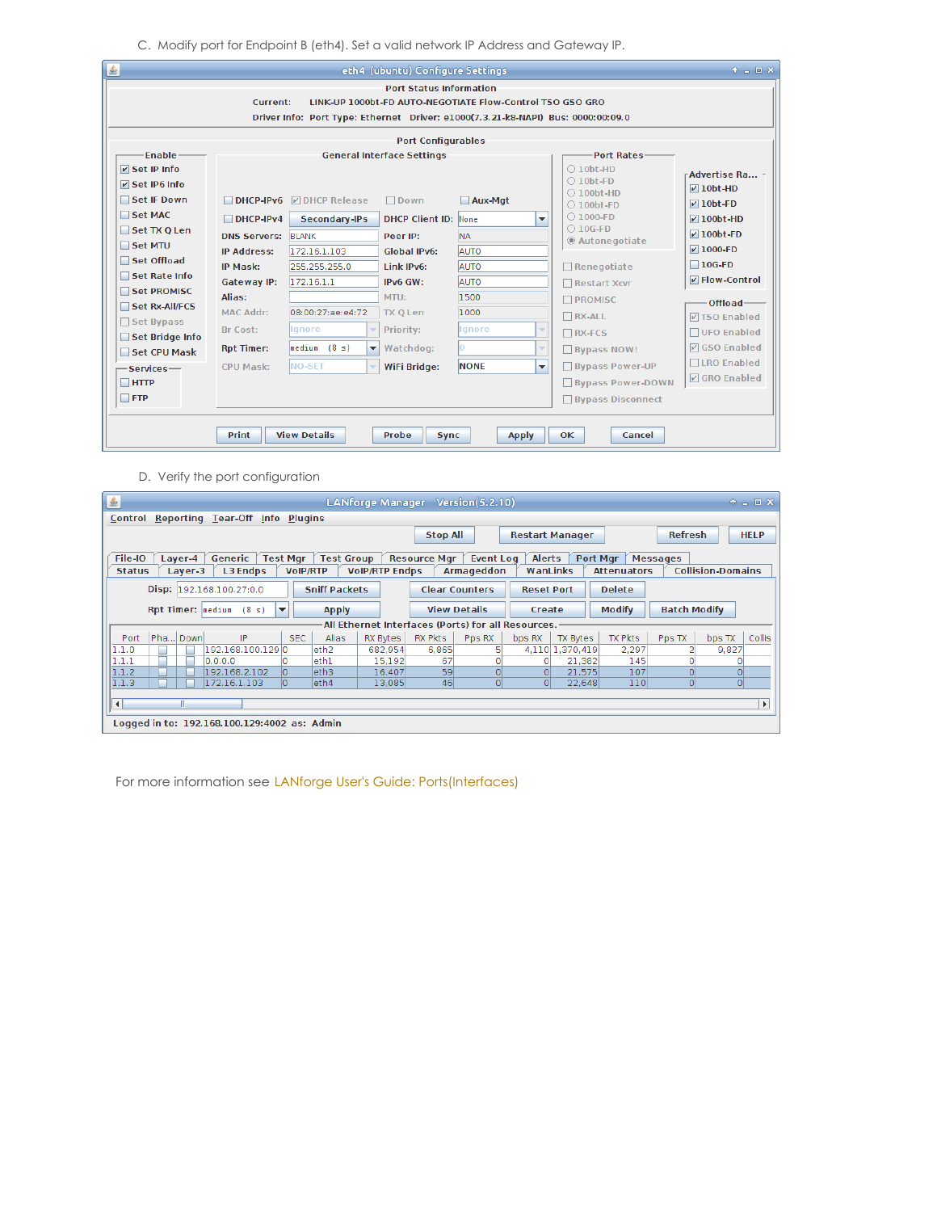C. Modify port for Endpoint B (eth4). Set a valid network IP Address and Gateway IP.

| 鱼                             |                           |                                             | eth4 (ubuntu) Configure Settings  |                                                                                  |                                           | $+ - 1$ $\times$      |
|-------------------------------|---------------------------|---------------------------------------------|-----------------------------------|----------------------------------------------------------------------------------|-------------------------------------------|-----------------------|
|                               | Current:                  |                                             | <b>Port Status Information</b>    | LINK-UP 1000bt-FD AUTO-NEGOTIATE Flow-Control TSO GSO GRO                        |                                           |                       |
|                               |                           |                                             |                                   | Driver Info: Port Type: Ethernet Driver: e1000(7.3.21-k8-NAPI) Bus: 0000:00:09.0 |                                           |                       |
|                               |                           |                                             | <b>Port Configurables</b>         |                                                                                  |                                           |                       |
| Enable <sup>®</sup>           |                           |                                             | <b>General Interface Settings</b> |                                                                                  | <b>Port Rates-</b>                        |                       |
| $V$ Set IP Info               |                           |                                             |                                   |                                                                                  | $\bigcirc$ 10bt-HD                        | <b>Advertise Ra</b> - |
| $V$ Set IP6 Info              |                           |                                             |                                   |                                                                                  | $\bigcirc$ 10bt-FD<br>$\bigcirc$ 100bt-HD | $V$ 10bt-HD           |
| Set IF Down                   | $DHCP-IPv6$               | <b>DICP Release</b>                         | $\Box$ Down                       | Aux-Mat                                                                          | $\bigcirc$ 100bt-FD                       | $\nu$ 10bt-FD         |
| Set MAC                       | $DHCP-IPv4$               | Secondary-IPs                               | <b>DHCP Client ID: None</b>       | $\overline{\phantom{0}}$                                                         | $\bigcirc$ 1000-FD                        | $\nu$ 100bt-HD        |
| Set TX Q Len                  | <b>DNS Servers: BLANK</b> |                                             | Peer IP:                          | <b>NA</b>                                                                        | $O$ 10G-FD<br>C Autonegotiate             | $\nu$ 100bt-FD        |
| Set MTU                       | <b>IP Address:</b>        | 172.16.1.103                                | <b>Global IPv6:</b>               | AUTO                                                                             |                                           | $V$ 1000-FD           |
| □ Set Offload                 | <b>IP Mask:</b>           | 255.255.255.0                               | Link IPv6:                        | <b>AUTO</b>                                                                      | $\Box$ Renegotiate                        | $\Box$ 10G-FD         |
| Set Rate Info                 | Gateway IP:               | 172.16.1.1                                  | IPv6 GW:                          | <b>AUTO</b>                                                                      | <b>□ Restart Xcvr</b>                     | $V$ Flow-Control      |
| Set PROMISC<br>Set Rx-All/FCS | Alias:                    |                                             | MTU:                              | 1500                                                                             | <b>T</b> PROMISC                          | Offload-              |
| □ Set Bypass                  | <b>MAC Addr:</b>          | 08:00:27:ae:e4:72                           | <b>TX Q Len</b>                   | 1000                                                                             | $\Box$ RX-ALL                             | <b>MTSO Enabled</b>   |
| Set Bridge Info               | Br Cost:                  | lanore<br>$\overline{\phantom{a}}$          | Priority:                         | lignore<br>v                                                                     | $\Box$ RX-FCS                             | $\Box$ UFO Enabled    |
| Set CPU Mask                  | <b>Rpt Timer:</b>         | medium<br>(8 s)<br>$\overline{\phantom{a}}$ | Watchdog:                         | o<br>$\overline{\phantom{a}}$                                                    | <b>□Bypass NOW!</b>                       | <b>V</b> GSO Enabled  |
| $-$ Services $-$              | <b>CPU Mask:</b>          | <b>NO-SET</b><br>$\overline{\phantom{a}}$   | <b>WiFi Bridge:</b>               | <b>NONE</b><br>$\overline{\mathbf{v}}$                                           | <b>Bypass Power-UP</b>                    | □LRO Enabled          |
| $\Box$ HTTP                   |                           |                                             |                                   |                                                                                  | <b>Bypass Power-DOWN</b>                  | <b>☑</b> GRO Enabled  |
| $\Box$ FTP                    |                           |                                             |                                   |                                                                                  | <b>Bypass Disconnect</b>                  |                       |
|                               |                           |                                             |                                   |                                                                                  |                                           |                       |
|                               | <b>Print</b>              | <b>View Details</b>                         | Probe<br><b>Sync</b>              | <b>Apply</b>                                                                     | <b>OK</b><br>Cancel                       |                       |

D. Verify the port configuration

| $\frac{1}{2}$                                                  | <b>LANforge Manager</b>                            | Version(5.2.10)                               | $+$ $  \times$                                 |
|----------------------------------------------------------------|----------------------------------------------------|-----------------------------------------------|------------------------------------------------|
| Reporting Tear-Off Info Plugins<br><b>Control</b>              |                                                    |                                               |                                                |
|                                                                | <b>Stop All</b>                                    | <b>Restart Manager</b>                        | <b>Refresh</b><br><b>HELP</b>                  |
| File-IO<br>Generic   Test Mar  <br>Laver-4                     | <b>Test Group</b><br>Resource Mar                  | <b>Event Log</b><br><b>Alerts</b><br>Port Mar | <b>Messages</b>                                |
| <b>L3 Endps</b><br><b>VoIP/RTP</b><br><b>Status</b><br>Layer-3 | <b>VoIP/RTP Endps</b>                              | Armageddon<br>WanLinks                        | <b>Attenuators</b><br><b>Collision-Domains</b> |
| Disp: 192.168.100.27:0.0                                       | <b>Sniff Packets</b>                               | <b>Clear Counters</b><br><b>Reset Port</b>    | <b>Delete</b>                                  |
| Rpt Timer: $ $ medium $(8 s)$<br>▼                             | <b>Apply</b>                                       | <b>View Details</b><br>Create                 | <b>Batch Modify</b><br><b>Modify</b>           |
|                                                                | All Ethernet Interfaces (Ports) for all Resources. |                                               |                                                |
| Pha Down<br><b>SEC</b><br>IP<br>Port                           | <b>Alias</b><br><b>RX Bytes</b><br><b>RX Pkts</b>  | <b>TX Bytes</b><br>Pps RX<br>bps RX           | <b>TX Pkts</b><br>Collis<br>Pps TX<br>bps TX   |
| 1.1.0<br>192.168.100.129 $ 0\rangle$                           | eth <sub>2</sub><br>682.954<br>6,865               | 4,110 1,370,419                               | 2,297<br>9,827                                 |
| 1.1.1<br>0.0.0.0                                               | eth1<br>67<br>15,192                               | 21,382                                        | 145                                            |
| lo.<br>1.1.2<br>192.168.2.102                                  | 59<br>eth3<br>16,407                               | 21.575                                        | 107<br>$\Omega$                                |
| 1.1.3<br>۱o<br>172.16.1.103                                    | leth4<br>46<br>13,085                              | $\Omega$<br>٥I<br>22.648                      | 0 <br>110<br>O                                 |
| $\left  \cdot \right $                                         |                                                    |                                               |                                                |
| Logged in to: 192.168.100.129:4002 as: Admin                   |                                                    |                                               |                                                |

For more information see LANforge User's Guide: [Ports\(Interfaces\)](http://www.candelatech.com/lfgui_ug.php#port)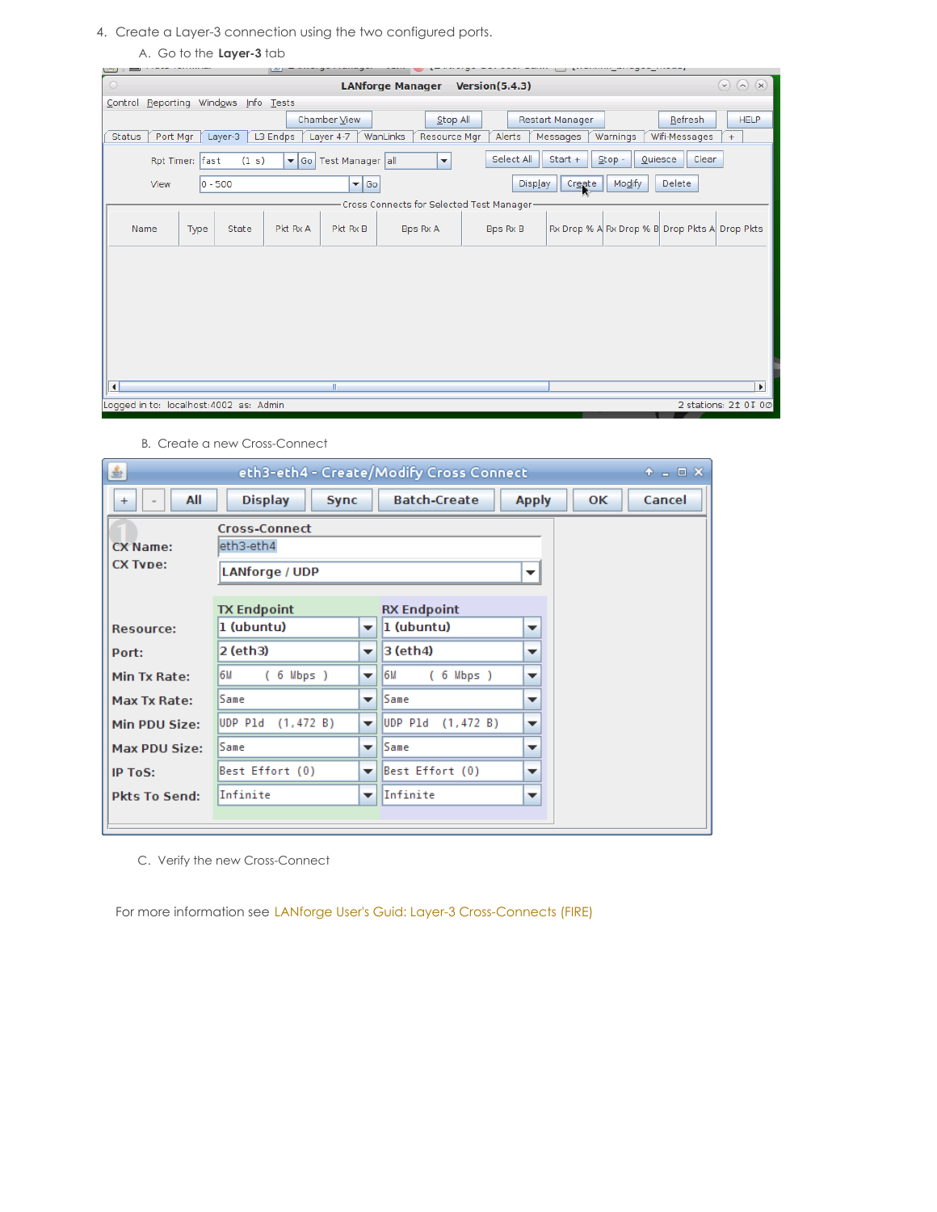- 4. Create a Layer-3 connection using the two configured ports.
	- A. Go to the **Layer-3** tab

| <b>Card I</b><br><b>Call Ave.</b>                                                                                                                   |
|-----------------------------------------------------------------------------------------------------------------------------------------------------|
| $\circ$<br>$\odot$ $\odot$ $\odot$<br><b>LANforge Manager</b><br>Version(5.4.3)                                                                     |
| Reporting Windows<br>Info Tests<br>Control                                                                                                          |
| Refresh<br>Chamber View<br><b>HELP</b><br>Stop All<br>Restart Manager                                                                               |
| WanLinks<br><b>Status</b><br>Port Mgr<br>L3 Endps<br>Layer 4-7<br>Resource Mgr<br>Alerts<br>Warnings<br>Wifi-Messages<br>Layer-3<br>Messages<br>$+$ |
| Select All<br>Clear<br>Start $+$<br>$Stop -$<br>Quiesce<br>Rpt Timer: fast<br>Go Test Manager all<br>(1 s)<br>$\blacktriangledown$                  |
| Delete<br>Modify<br>$\blacktriangledown$ Go<br>$ 0 - 500 $<br>Display<br>Create<br>View                                                             |
| Cross Connects for Selected Test Manager-                                                                                                           |
| Rx Drop % A Rx Drop % B Drop Pkts A Drop Pkts<br>Pkt Rx B<br>State<br>Pkt Rx A<br><b>Bps Rx A</b><br>Bps Rx B<br>Name<br>Type                       |
|                                                                                                                                                     |
|                                                                                                                                                     |
|                                                                                                                                                     |
|                                                                                                                                                     |
|                                                                                                                                                     |
|                                                                                                                                                     |
|                                                                                                                                                     |
| $\sqrt{4}$<br>W.<br>$\blacktriangleright$                                                                                                           |
| Logged in to: localhost: 4002 as: Admin<br>2 stations: 21 0 J 0 Ø                                                                                   |

B. Create a new Cross-Connect

| €                                  |                                                     |                          | eth3-eth4 - Create/Modify Cross Connect |                          |              | $+$ $  \times$ |
|------------------------------------|-----------------------------------------------------|--------------------------|-----------------------------------------|--------------------------|--------------|----------------|
| All<br>$+$<br>$\blacksquare$       | <b>Display</b><br><b>Sync</b>                       |                          | <b>Batch-Create</b>                     | <b>Apply</b>             | Cancel<br>OK |                |
| <b>CX Name:</b><br><b>CX Type:</b> | Cross-Connect<br>eth3-eth4<br><b>LANforge / UDP</b> |                          |                                         | ▼                        |              |                |
| <b>Resource:</b>                   | <b>TX Endpoint</b><br>1 (ubuntu)                    | $\overline{\phantom{a}}$ | <b>RX Endpoint</b><br>1 (ubuntu)        | $\overline{\phantom{a}}$ |              |                |
| Port:                              | 2 (eth3)                                            | $\overline{\phantom{a}}$ | 3 (eth4)                                | ▼                        |              |                |
| Min Tx Rate:                       | 6M (6 Mbps)                                         | $\overline{\phantom{a}}$ | $(6$ Mbps $)$<br>6M                     | $\overline{\phantom{a}}$ |              |                |
| <b>Max Tx Rate:</b>                | Same                                                | $\overline{\phantom{a}}$ | <b>Same</b>                             | $\overline{\phantom{a}}$ |              |                |
| Min PDU Size:                      | UDP Pld (1,472 B)                                   | $\overline{\phantom{a}}$ | $ UDP$ Pld $(1, 472 B)$                 | $\overline{\phantom{a}}$ |              |                |
| <b>Max PDU Size:</b>               | Same                                                | $\overline{\phantom{a}}$ | Same                                    | $\overline{\phantom{a}}$ |              |                |
| IP ToS:                            | Best Effort (0)                                     | $\overline{\phantom{a}}$ | Best Effort (0)                         | ▼                        |              |                |
| <b>Pkts To Send:</b>               | Infinite                                            | ▼                        | Infinite                                | ▼                        |              |                |
|                                    |                                                     |                          |                                         |                          |              |                |

C. Verify the new Cross-Connect

For more information see LANforge User's Guid: Layer-3 [Cross-Connects](http://www.candelatech.com/lfgui_ug.php#cx) (FIRE)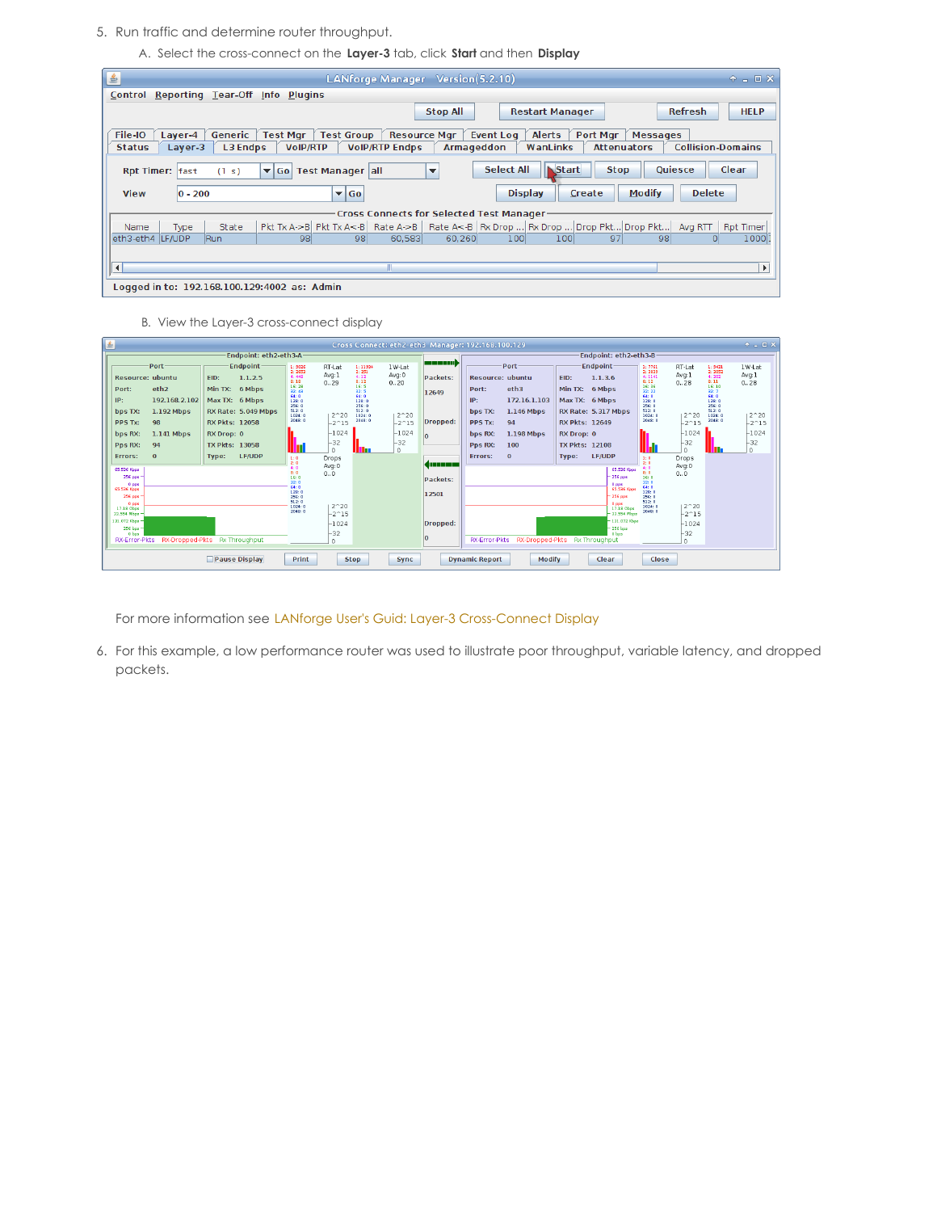- 5. Run traffic and determine router throughput.
	- A. Select the cross-connect on the **Layer-3** tab, click **Start** and then **Display**

| $\frac{1}{2}$            |                        |                            |                                              |                                                    | LANforge Manager Version(5.2.10)         |                          |                   |                                                                                 |                                |                 |                          | $+$ $  \times$   |
|--------------------------|------------------------|----------------------------|----------------------------------------------|----------------------------------------------------|------------------------------------------|--------------------------|-------------------|---------------------------------------------------------------------------------|--------------------------------|-----------------|--------------------------|------------------|
|                          |                        |                            | Control Reporting Tear-Off Info Plugins      |                                                    |                                          |                          |                   |                                                                                 |                                |                 |                          |                  |
|                          |                        |                            |                                              |                                                    |                                          | <b>Stop All</b>          |                   | <b>Restart Manager</b>                                                          |                                |                 | <b>Refresh</b>           | <b>HELP</b>      |
| File-IO<br><b>Status</b> | Laver-4<br>Layer-3     | Generic<br><b>L3 Endps</b> | <b>VoIP/RTP</b>                              | √ Test Mar │ Test Group │ Resource Mar │ Event Log | <b>VoIP/RTP Endps</b>                    | Armageddon               |                   | Alerts<br>WanLinks                                                              | Port Mgr<br><b>Attenuators</b> | <b>Messages</b> | <b>Collision-Domains</b> |                  |
|                          | <b>Rpt Timer: fast</b> | (1 s)                      | $\blacktriangledown$ Go                      | Test Manager all                                   |                                          | $\overline{\phantom{a}}$ | <b>Select All</b> | Start                                                                           | <b>Stop</b>                    |                 | <b>Quiesce</b>           | Clear            |
| <b>View</b>              | $ 0 - 200 $            |                            |                                              | $\blacktriangledown$ Go                            |                                          |                          | <b>Display</b>    | Create                                                                          |                                | <b>Modify</b>   | <b>Delete</b>            |                  |
|                          |                        |                            |                                              |                                                    | Cross Connects for Selected Test Manager |                          |                   |                                                                                 |                                |                 |                          |                  |
| Name                     | Type                   | State                      |                                              |                                                    |                                          |                          |                   | Pkt Tx A->B Pkt Tx A<-B Rate A->B Rate A<-B Rx Drop  Rx Drop  Drop Pkt Drop Pkt |                                |                 | Ava RTT                  | <b>Rpt Timer</b> |
| eth3-eth4 LF/UDP         |                        | <b>Run</b>                 | 98 <sup>1</sup>                              | 98 <sup>1</sup>                                    | 60,583                                   | 60.260                   | 100               | 100                                                                             | 97                             | 98              | $\Omega$                 | 1000             |
|                          |                        |                            |                                              |                                                    |                                          |                          |                   |                                                                                 |                                |                 |                          |                  |
| $\left  \cdot \right $   |                        |                            |                                              |                                                    |                                          |                          |                   |                                                                                 |                                |                 |                          |                  |
|                          |                        |                            | Logged in to: 192.168.100.129:4002 as: Admin |                                                    |                                          |                          |                   |                                                                                 |                                |                 |                          |                  |

B. View the Layer-3 cross-connect display

| $\mathbf{r}$ |                               |                               |                        |                           |                   |                           |                   | Cross Connect: eth2-eth3 Manager: 192.168.100.129 |                         |              |                               |                               |                            |                   |                            | $+$ $  \times$   |
|--------------|-------------------------------|-------------------------------|------------------------|---------------------------|-------------------|---------------------------|-------------------|---------------------------------------------------|-------------------------|--------------|-------------------------------|-------------------------------|----------------------------|-------------------|----------------------------|------------------|
|              |                               |                               | Endpoint: eth2-eth3-A- |                           |                   |                           |                   |                                                   |                         |              |                               | Endpoint: eth2-eth3-B         |                            |                   |                            |                  |
|              |                               | Port                          | <b>Endpoint</b>        | 1: 9026<br>2:2653         | RT-Lat            | 1:11924<br>2:251          | 1W-Lat            | <b>MENSION</b>                                    |                         | Port         | <b>Endpoint</b>               |                               | 1:7761<br>2:3839           | RT-Lat            | 1: 9431<br>2 3052          | 1W-Lat           |
|              | Resource: ubuntu              |                               | 1.1.2.5<br>EID:        | 4:448<br>8:18             | Avg:1<br>0.29     | 4:12<br>8:12              | Avg:0<br>0., 20   | Packets:                                          | <b>Resource: ubuntu</b> |              | 1.1.3.6<br>EID:               |                               | 4:1141<br>8:12             | Avq:1<br>0.28     | 4:302<br>8:11              | Avg:1<br>0.28    |
|              | Port:                         | eth2                          | Min TX: 6 Mbps         | 16:28<br>32:43            |                   | 16:5<br>32.5              |                   | 12649                                             | Port:                   | eth3         | Min TX: 6 Mbps                |                               | 16:36<br>32: 22            |                   | 16:10<br>32:7              |                  |
|              | IP:                           | 192.168.2.102                 | Max TX: 6 Mbps         | 64: 0<br>128:0            |                   | 64: 0<br>129:0            |                   |                                                   | IP:                     | 172.16.1.103 | Max TX: 6 Mbps                |                               | 64: 0<br>128:0             |                   | 64: 0<br>128:0             |                  |
|              | bps TX:                       | 1.192 Mbps                    | RX Rate: 5.049 Mbps    | 256:0<br>512:0<br>1024:0  | $2^{\sim}20$      | 256: 0<br>512:0<br>1024:0 | $2^{\sim}20$      |                                                   | bps TX:                 | 1.146 Mbps   | RX Rate: 5.317 Mbps           |                               | 256: 0<br>512:0<br>1024: 0 | $2^{\sim}20$      | 256: 0<br>512:0<br>1024: 0 | $2^{\sim}20$     |
|              | <b>PPS Tx:</b>                | 98                            | <b>RX Pkts: 12058</b>  | 2049: 0                   | $-2^15$           | 2049:0                    | $-2^{\sim}15$     | Dropped:                                          | <b>PPS Tx:</b>          | 94           | <b>RX Pkts: 12649</b>         |                               | 2049: 0                    | $-2^{\sim}15$     | 2049: 0                    | $-2^15$          |
|              | bps RX:                       | 1.141 Mbps                    | <b>RX Drop: 0</b>      |                           | $-1024$           |                           | $-1024$           | lo                                                | bps RX:                 | 1.198 Mbps   | <b>RX Drop: 0</b>             |                               |                            | $-1024$           |                            | $-1024$          |
|              | Pps RX:                       | 94                            | TX Pkts: 13058         |                           | $-32$<br>$\Omega$ | шп                        | $-32$<br>$\Omega$ |                                                   | Pps RX:                 | 100          | <b>TX Pkts: 12108</b>         |                               |                            | $-32$<br>$\Omega$ |                            | $-32$<br>$\circ$ |
|              | Errors:                       | $\mathbf{0}$                  | LF/UDP<br>Type:        | 1:0                       | <b>Drops</b>      |                           |                   |                                                   | Errors:                 | $\mathbf{0}$ | <b>LF/UDP</b><br>Type:        |                               | 1:0                        | Drops             |                            |                  |
|              | 65.536 Kpps                   |                               |                        | 2:0<br>4:0<br>8:0         | Avg:0             |                           |                   | in a mara an                                      |                         |              |                               | 65.536 Kpps                   | 2:0<br>4:0<br>8:0          | Avg: 0            |                            |                  |
|              | 256 pps -<br>0 <sub>pp1</sub> |                               |                        | 16.0<br>32.0              | 0.0               |                           |                   | Packets:                                          |                         |              |                               | 256 pps                       | 16:0<br>32:0               | 0.0               |                            |                  |
|              | 65.536 Kpps                   |                               |                        | 64: 0<br>128:0            |                   |                           |                   | 12501                                             |                         |              |                               | 0 pps<br><b>65.536 Kpps</b>   | 64: 0<br>128:0             |                   |                            |                  |
|              | 256 pps<br>0 pps              |                               |                        | 256: 0<br>512:0<br>1024:0 | $2^220$           |                           |                   |                                                   |                         |              |                               | 256 pps<br>0 pps              | 256: 0<br>512:0<br>1024: 0 | $2^{\wedge}20$    |                            |                  |
|              | 17.18 Gbps<br>33.554 Mbps     |                               |                        | 2048:0                    | $-2^15$           |                           |                   |                                                   |                         |              |                               | $17.18$ Gbps<br>33.554 Mbps   | 2049: 0                    | $-2^15$           |                            |                  |
|              | 131.072 Kbps -<br>256 bps =   |                               |                        |                           | $-1024$           |                           |                   | Dropped:                                          |                         |              |                               | $-121.072$ Kbps<br>$-256$ bps |                            | $-1024$           |                            |                  |
|              | 0 box                         | RX-Error-Pkts RX-Dropped-Pkts | <b>Rx Throughput</b>   |                           | $-32$             |                           |                   |                                                   | <b>RX-Error-Pkts</b>    |              | RX-Dropped-Pkts Rx Throughput | 0 box                         |                            | $-32$             |                            |                  |
|              |                               |                               |                        |                           | $\circ$           |                           |                   |                                                   |                         |              |                               |                               |                            | $\circ$           |                            |                  |
|              |                               |                               | <b>Pause Display</b>   | <b>Print</b>              |                   | <b>Stop</b>               | <b>Sync</b>       |                                                   | <b>Dynamic Report</b>   | Modify       | Clear                         |                               | Close                      |                   |                            |                  |

For more information see LANforge User's Guid: Layer-3 [Cross-Connect](http://www.candelatech.com/lfgui_ug.php#cx_disp) Display

6. For this example, a low performance router was used to illustrate poor throughput, variable latency, and dropped packets.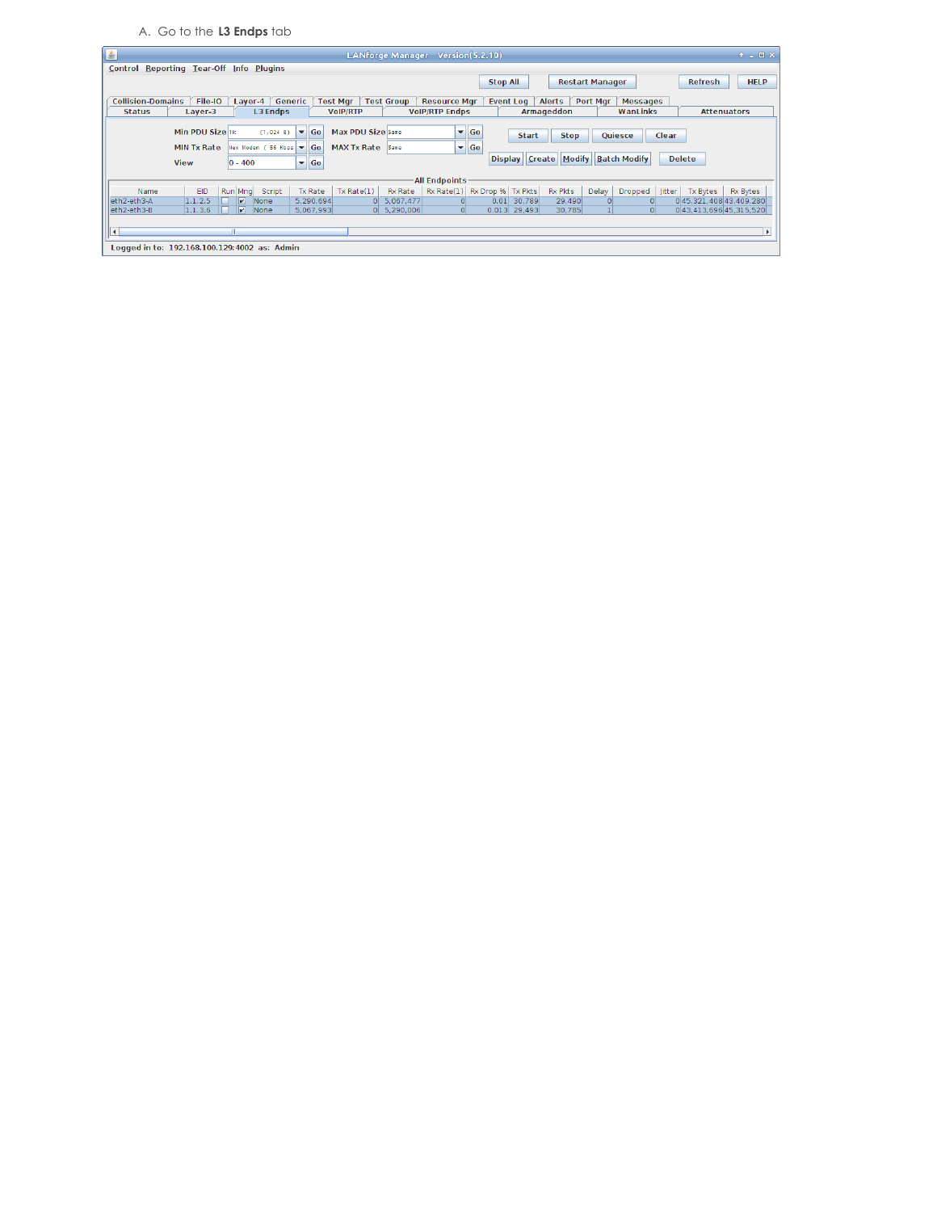A. Go to the L3 Endps tab

| $\left  \underline{\xi} \right $ |                    |                                              |                                               |                   | LANforge Manager Version(5.2.10) |                         |                |                       |                        |                     |        |                             | $+ - 0X$              |
|----------------------------------|--------------------|----------------------------------------------|-----------------------------------------------|-------------------|----------------------------------|-------------------------|----------------|-----------------------|------------------------|---------------------|--------|-----------------------------|-----------------------|
|                                  |                    | Control Reporting Tear-Off Info Plugins      |                                               |                   |                                  |                         |                |                       |                        |                     |        |                             |                       |
|                                  |                    |                                              |                                               |                   |                                  | <b>Stop All</b>         |                |                       | <b>Restart Manager</b> |                     |        | <b>Refresh</b>              | <b>HELP</b>           |
| <b>Collision-Domains</b>         | File-IO            | Generic<br>Layer-4 $\vert$                   | <b>Test Mar</b>                               | <b>Test Group</b> | <b>Resource Mgr</b>              |                         | Event Log      | Alerts                | Port Mar               | <b>Messages</b>     |        |                             |                       |
| <b>Status</b>                    | Layer-3            | <b>L3 Endps</b>                              | <b>VoIP/RTP</b>                               |                   | <b>VoIP/RTP Endps</b>            |                         |                | Armageddon            |                        | WanLinks            |        |                             | <b>Attenuators</b>    |
|                                  | Min PDU Size 1k    | (1, 024 B)                                   | $\blacktriangleright$ Go<br>Max PDU Size Same |                   |                                  | $\blacktriangledown$ Go | <b>Start</b>   | <b>Stop</b>           |                        | Quiesce             | Clear  |                             |                       |
|                                  | <b>MIN Tx Rate</b> | New Modem (56 Kbps $\blacktriangledown$ Go   | <b>MAX Tx Rate</b>                            | Same              |                                  | $\blacktriangledown$ Go |                |                       |                        |                     |        |                             |                       |
|                                  | <b>View</b>        | $ 0 - 400$                                   | $\overline{\phantom{a}}$ Go                   |                   |                                  |                         |                | Display Create Modify |                        | <b>Batch Modify</b> |        | <b>Delete</b>               |                       |
|                                  |                    |                                              |                                               |                   | <b>All Endpoints</b>             |                         |                |                       |                        |                     |        |                             |                       |
| Name                             | EID                | Script<br>Run Mng                            | Tx Rate(1)<br>Tx Rate                         | <b>Rx Rate</b>    | Rx Rate(1)                       | Rx Drop %   Tx Pkts     |                | <b>Rx Pkts</b>        | Delay                  | Dropped             | litter | <b>Tx Bytes</b>             | <b>Rx Bytes</b>       |
| eth2-eth3-A                      | 1.1.2.5            | $\overline{\mathbf{v}}$<br>None              | 5.290.694<br>$\Omega$                         | 5.067.477         |                                  |                         | $0.01$ 30,789  | 29.490                | 0                      |                     |        | 0 45, 321, 408 43, 409, 280 |                       |
| eth2-eth3-B                      | 1.1.3.6            | None<br>$\overline{\mathbf{v}}$              | 5.067.993                                     | $0$ 5.290,006     | $\Omega$                         |                         | $0.013$ 29.493 | 30.785                |                        |                     |        | 0 43.413.696 45.315.520     |                       |
|                                  |                    |                                              |                                               |                   |                                  |                         |                |                       |                        |                     |        |                             |                       |
| О                                |                    |                                              |                                               |                   |                                  |                         |                |                       |                        |                     |        |                             | $\blacktriangleright$ |
|                                  |                    | Logged in to: 192.168.100.129:4002 as: Admin |                                               |                   |                                  |                         |                |                       |                        |                     |        |                             |                       |